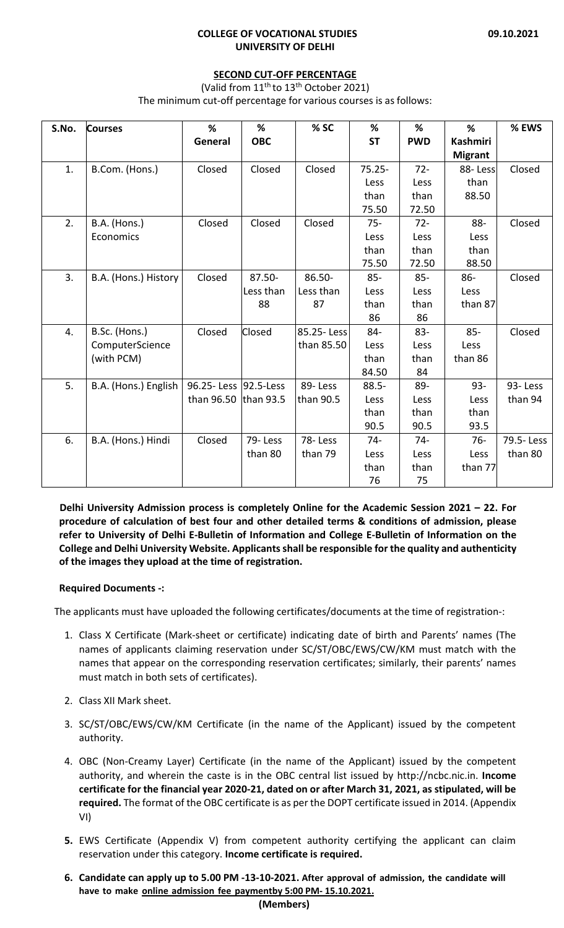#### **SECOND CUT‐OFF PERCENTAGE**

(Valid from  $11^{th}$  to  $13^{th}$  October 2021) The minimum cut-off percentage for various courses is as follows:

| S.No. | <b>Courses</b>       | %                       | %           | % SC       | %         | %          | %              | % EWS     |
|-------|----------------------|-------------------------|-------------|------------|-----------|------------|----------------|-----------|
|       |                      | General                 | <b>OBC</b>  |            | <b>ST</b> | <b>PWD</b> | Kashmiri       |           |
|       |                      |                         |             |            |           |            | <b>Migrant</b> |           |
| 1.    | B.Com. (Hons.)       | Closed                  | Closed      | Closed     | $75.25 -$ | $72 -$     | 88-Less        | Closed    |
|       |                      |                         |             |            | Less      | Less       | than           |           |
|       |                      |                         |             |            | than      | than       | 88.50          |           |
|       |                      |                         |             |            | 75.50     | 72.50      |                |           |
| 2.    | B.A. (Hons.)         | Closed                  | Closed      | Closed     | $75 -$    | $72 -$     | 88-            | Closed    |
|       | Economics            |                         |             |            | Less      | Less       | Less           |           |
|       |                      |                         |             |            | than      | than       | than           |           |
|       |                      |                         |             |            | 75.50     | 72.50      | 88.50          |           |
| 3.    | B.A. (Hons.) History | Closed                  | $87.50 -$   | 86.50-     | $85 -$    | $85 -$     | $86 -$         | Closed    |
|       |                      |                         | Less than   | Less than  | Less      | Less       | Less           |           |
|       |                      |                         | 88          | 87         | than      | than       | than 87        |           |
|       |                      |                         |             |            | 86        | 86         |                |           |
| 4.    | B.Sc. (Hons.)        | Closed                  | Closed      | 85.25-Less | 84-       | $83 -$     | $85 -$         | Closed    |
|       | ComputerScience      |                         |             | than 85.50 | Less      | Less       | Less           |           |
|       | (with PCM)           |                         |             |            | than      | than       | than 86        |           |
|       |                      |                         |             |            | 84.50     | 84         |                |           |
| 5.    | B.A. (Hons.) English | 96.25- Less   92.5-Less |             | 89-Less    | $88.5 -$  | 89-        | $93 -$         | 93-Less   |
|       |                      | than 96.50              | than $93.5$ | than 90.5  | Less      | Less       | Less           | than 94   |
|       |                      |                         |             |            | than      | than       | than           |           |
|       |                      |                         |             |            | 90.5      | 90.5       | 93.5           |           |
| 6.    | B.A. (Hons.) Hindi   | Closed                  | 79-Less     | 78-Less    | 74-       | 74-        | 76-            | 79.5-Less |
|       |                      |                         | than 80     | than 79    | Less      | Less       | Less           | than 80   |
|       |                      |                         |             |            | than      | than       | than 77        |           |
|       |                      |                         |             |            | 76        | 75         |                |           |

**Delhi University Admission process is completely Online for the Academic Session 2021 – 22. For procedure of calculation of best four and other detailed terms & conditions of admission, please** refer to University of Delhi E-Bulletin of Information and College E-Bulletin of Information on the **College and Delhi University Website. Applicantsshall be responsible for the quality and authenticity of the images they upload at the time of registration.**

# **Required Documents ‐:**

The applicants must have uploaded the following certificates/documents at the time of registration‐:

- 1. Class X Certificate (Mark‐sheet or certificate) indicating date of birth and Parents' names (The names of applicants claiming reservation under SC/ST/OBC/EWS/CW/KM must match with the names that appear on the corresponding reservation certificates; similarly, their parents' names must match in both sets of certificates).
- 2. Class XII Mark sheet.
- 3. SC/ST/OBC/EWS/CW/KM Certificate (in the name of the Applicant) issued by the competent authority.
- 4. OBC (Non‐Creamy Layer) Certificate (in the name of the Applicant) issued by the competent authority, and wherein the caste is in the OBC central list issued by http://ncbc.nic.in. **Income** certificate for the financial year 2020-21, dated on or after March 31, 2021, as stipulated, will be **required.** The format of the OBC certificate is as per the DOPT certificate issued in 2014. (Appendix VI)
- **5.** EWS Certificate (Appendix V) from competent authority certifying the applicant can claim reservation under this category. **Income certificate is required.**
- 6. Candidate can apply up to 5.00 PM -13-10-2021. After approval of admission, the candidate will **have to make online admission fee paymentby 5:00 PM‐ 15.10.2021.**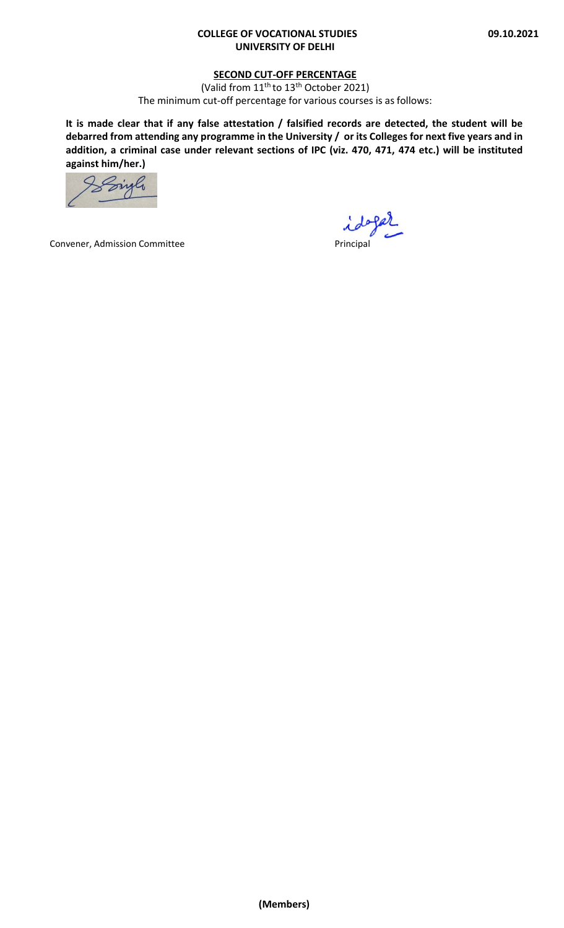## **SECOND CUT‐OFF PERCENTAGE**

(Valid from 11<sup>th</sup> to 13<sup>th</sup> October 2021) The minimum cut-off percentage for various courses is as follows:

It is made clear that if any false attestation / falsified records are detected, the student will be debarred from attending any programme in the University / or its Colleges for next five years and in **addition, a criminal case under relevant sections of IPC (viz. 470, 471, 474 etc.) will be instituted against him/her.)**

Sizle

Convener, Admission Committee **and Convener** Principal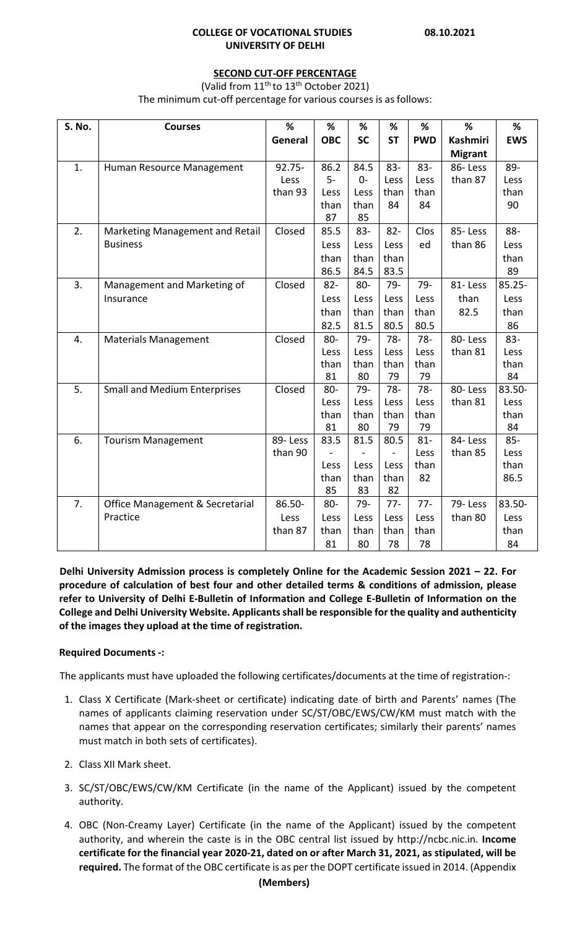### **SECOND CUT‐OFF PERCENTAGE**

(Valid from  $11^{th}$  to  $13^{th}$  October 2021)

The minimum cut-off percentage for various courses is as follows:

| S. No.           | <b>Courses</b>                      | %         | %          | %         | %         | %          | %              | %          |
|------------------|-------------------------------------|-----------|------------|-----------|-----------|------------|----------------|------------|
|                  |                                     | General   | <b>OBC</b> | <b>SC</b> | <b>ST</b> | <b>PWD</b> | Kashmiri       | <b>EWS</b> |
|                  |                                     |           |            |           |           |            | <b>Migrant</b> |            |
| 1.               | Human Resource Management           | $92.75 -$ | 86.2       | 84.5      | 83-       | $83 -$     | 86-Less        | 89-        |
|                  |                                     | Less      | $5-$       | $0 -$     | Less      | Less       | than 87        | Less       |
|                  |                                     | than 93   | Less       | Less      | than      | than       |                | than       |
|                  |                                     |           | than       | than      | 84        | 84         |                | 90         |
|                  |                                     |           | 87         | 85        |           |            |                |            |
| 2.               | Marketing Management and Retail     | Closed    | 85.5       | 83-       | $82 -$    | Clos       | 85-Less        | 88-        |
|                  | <b>Business</b>                     |           | Less       | Less      | Less      | ed         | than 86        | Less       |
|                  |                                     |           | than       | than      | than      |            |                | than       |
|                  |                                     |           | 86.5       | 84.5      | 83.5      |            |                | 89         |
| 3.               | Management and Marketing of         | Closed    | $82 -$     | 80-       | 79-       | 79-        | 81-Less        | $85.25 -$  |
|                  | Insurance                           |           | Less       | Less      | Less      | Less       | than           | Less       |
|                  |                                     |           | than       | than      | than      | than       | 82.5           | than       |
|                  |                                     |           | 82.5       | 81.5      | 80.5      | 80.5       |                | 86         |
| 4.               | <b>Materials Management</b>         | Closed    | $80 -$     | 79-       | $78 -$    | $78 -$     | 80-Less        | 83-        |
|                  |                                     |           | Less       | Less      | Less      | Less       | than 81        | Less       |
|                  |                                     |           | than       | than      | than      | than       |                | than       |
|                  |                                     |           | 81         | 80        | 79        | 79         |                | 84         |
| $\overline{5}$ . | <b>Small and Medium Enterprises</b> | Closed    | 80-        | $79 -$    | $78 -$    | $78 -$     | 80-Less        | 83.50-     |
|                  |                                     |           | Less       | Less      | Less      | Less       | than 81        | Less       |
|                  |                                     |           | than       | than      | than      | than       |                | than       |
|                  |                                     |           | 81         | 80        | 79        | 79         |                | 84         |
| 6.               | <b>Tourism Management</b>           | 89-Less   | 83.5       | 81.5      | 80.5      | $81 -$     | 84-Less        | $85 -$     |
|                  |                                     | than 90   |            |           |           | Less       | than 85        | Less       |
|                  |                                     |           | Less       | Less      | Less      | than       |                | than       |
|                  |                                     |           | than       | than      | than      | 82         |                | 86.5       |
|                  |                                     |           | 85         | 83        | 82        |            |                |            |
| 7.               | Office Management & Secretarial     | 86.50-    | $80 -$     | 79-       | $77 -$    | $77 -$     | 79-Less        | 83.50-     |
|                  | Practice                            | Less      | Less       | Less      | Less      | Less       | than 80        | Less       |
|                  |                                     | than 87   | than       | than      | than      | than       |                | than       |
|                  |                                     |           | 81         | 80        | 78        | 78         |                | 84         |

**Delhi University Admission process is completely Online for the Academic Session 2021 – 22. For procedure of calculation of best four and other detailed terms & conditions of admission, please** refer to University of Delhi E-Bulletin of Information and College E-Bulletin of Information on the **College and Delhi University Website. Applicantsshall be responsible for the quality and authenticity of the images they upload at the time of registration.**

# **Required Documents ‐:**

The applicants must have uploaded the following certificates/documents at the time of registration‐:

- 1. Class X Certificate (Mark‐sheet or certificate) indicating date of birth and Parents' names (The names of applicants claiming reservation under SC/ST/OBC/EWS/CW/KM must match with the names that appear on the corresponding reservation certificates; similarly their parents' names must match in both sets of certificates).
- 2. Class XII Mark sheet.
- 3. SC/ST/OBC/EWS/CW/KM Certificate (in the name of the Applicant) issued by the competent authority.
- 4. OBC (Non‐Creamy Layer) Certificate (in the name of the Applicant) issued by the competent authority, and wherein the caste is in the OBC central list issued by http://ncbc.nic.in. **Income** certificate for the financial year 2020-21, dated on or after March 31, 2021, as stipulated, will be **required.** The format of the OBC certificate is as per the DOPT certificate issued in 2014. (Appendix